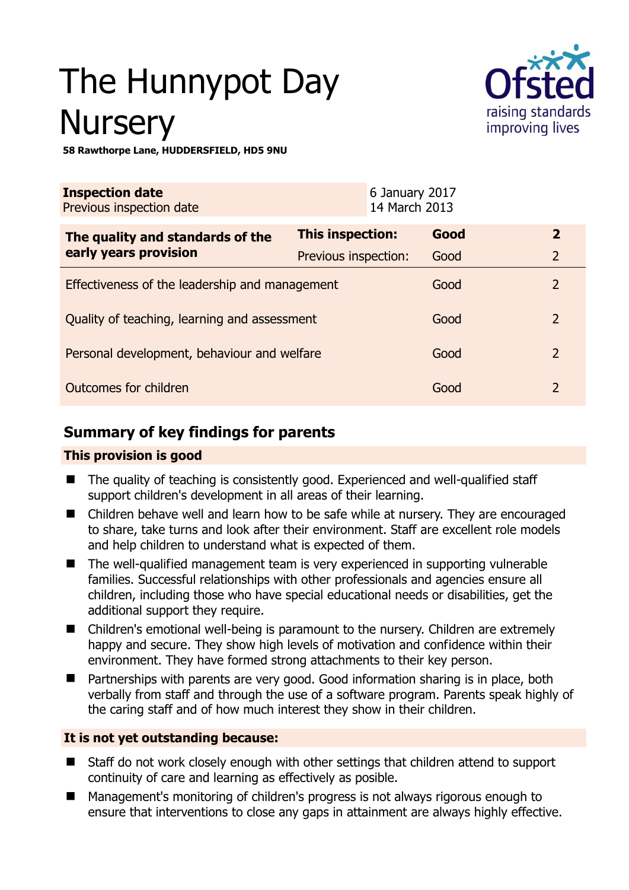# The Hunnypot Day **Nursery**



**58 Rawthorpe Lane, HUDDERSFIELD, HD5 9NU** 

| <b>Inspection date</b><br>Previous inspection date        |                      | 6 January 2017<br>14 March 2013 |      |                |
|-----------------------------------------------------------|----------------------|---------------------------------|------|----------------|
| The quality and standards of the<br>early years provision | This inspection:     |                                 | Good | $\overline{2}$ |
|                                                           | Previous inspection: |                                 | Good | $\overline{2}$ |
| Effectiveness of the leadership and management            |                      |                                 | Good | $\overline{2}$ |
| Quality of teaching, learning and assessment              |                      |                                 | Good | $\overline{2}$ |
| Personal development, behaviour and welfare               |                      |                                 | Good | $\overline{2}$ |
| Outcomes for children                                     |                      |                                 | Good | $\overline{2}$ |

# **Summary of key findings for parents**

## **This provision is good**

- The quality of teaching is consistently good. Experienced and well-qualified staff support children's development in all areas of their learning.
- Children behave well and learn how to be safe while at nursery. They are encouraged to share, take turns and look after their environment. Staff are excellent role models and help children to understand what is expected of them.
- The well-qualified management team is very experienced in supporting vulnerable families. Successful relationships with other professionals and agencies ensure all children, including those who have special educational needs or disabilities, get the additional support they require.
- Children's emotional well-being is paramount to the nursery. Children are extremely happy and secure. They show high levels of motivation and confidence within their environment. They have formed strong attachments to their key person.
- Partnerships with parents are very good. Good information sharing is in place, both verbally from staff and through the use of a software program. Parents speak highly of the caring staff and of how much interest they show in their children.

## **It is not yet outstanding because:**

- Staff do not work closely enough with other settings that children attend to support continuity of care and learning as effectively as posible.
- Management's monitoring of children's progress is not always rigorous enough to ensure that interventions to close any gaps in attainment are always highly effective.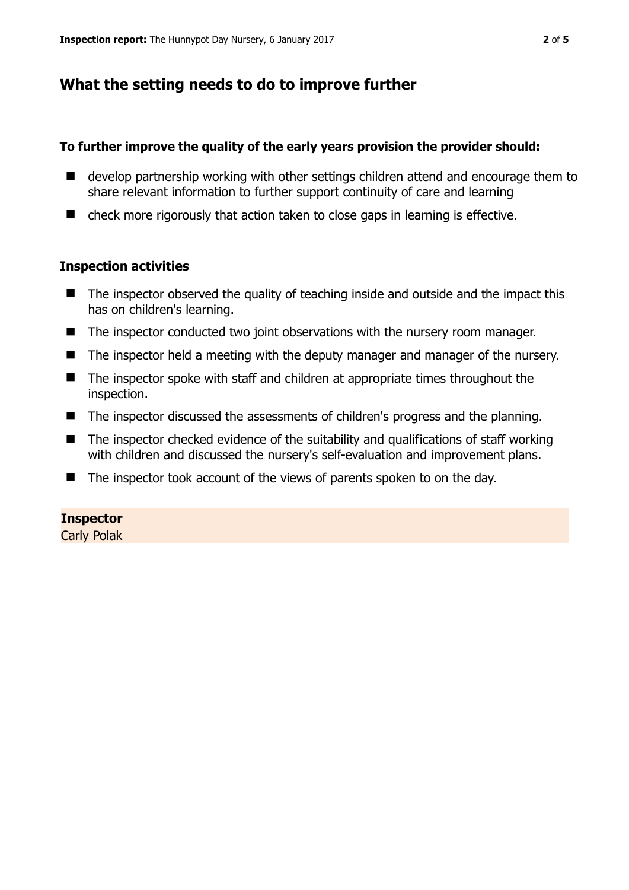# **What the setting needs to do to improve further**

#### **To further improve the quality of the early years provision the provider should:**

- develop partnership working with other settings children attend and encourage them to share relevant information to further support continuity of care and learning
- check more rigorously that action taken to close gaps in learning is effective.

#### **Inspection activities**

- $\blacksquare$  The inspector observed the quality of teaching inside and outside and the impact this has on children's learning.
- The inspector conducted two joint observations with the nursery room manager.
- The inspector held a meeting with the deputy manager and manager of the nursery.
- The inspector spoke with staff and children at appropriate times throughout the inspection.
- The inspector discussed the assessments of children's progress and the planning.
- $\blacksquare$  The inspector checked evidence of the suitability and qualifications of staff working with children and discussed the nursery's self-evaluation and improvement plans.
- $\blacksquare$  The inspector took account of the views of parents spoken to on the day.

## **Inspector**

Carly Polak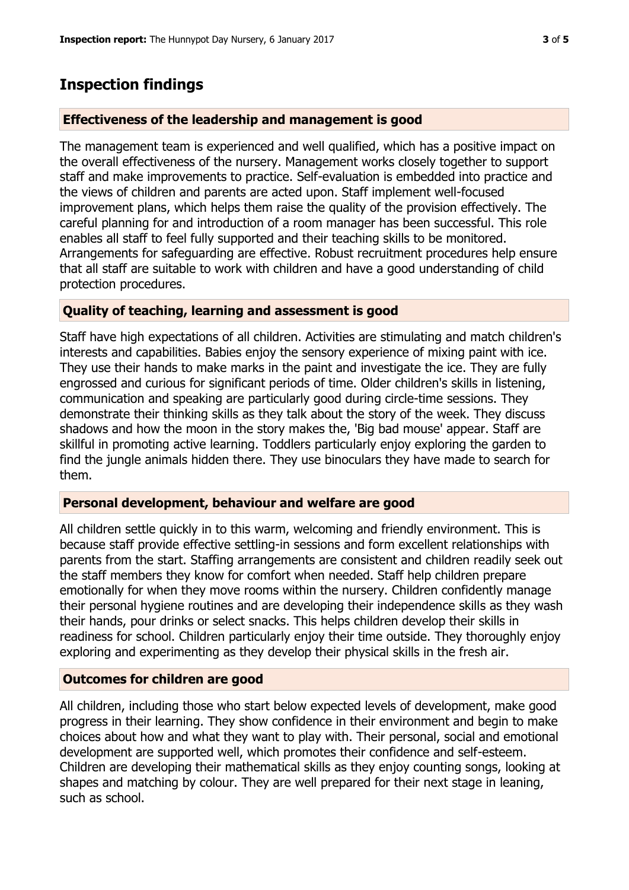# **Inspection findings**

#### **Effectiveness of the leadership and management is good**

The management team is experienced and well qualified, which has a positive impact on the overall effectiveness of the nursery. Management works closely together to support staff and make improvements to practice. Self-evaluation is embedded into practice and the views of children and parents are acted upon. Staff implement well-focused improvement plans, which helps them raise the quality of the provision effectively. The careful planning for and introduction of a room manager has been successful. This role enables all staff to feel fully supported and their teaching skills to be monitored. Arrangements for safeguarding are effective. Robust recruitment procedures help ensure that all staff are suitable to work with children and have a good understanding of child protection procedures.

#### **Quality of teaching, learning and assessment is good**

Staff have high expectations of all children. Activities are stimulating and match children's interests and capabilities. Babies enjoy the sensory experience of mixing paint with ice. They use their hands to make marks in the paint and investigate the ice. They are fully engrossed and curious for significant periods of time. Older children's skills in listening, communication and speaking are particularly good during circle-time sessions. They demonstrate their thinking skills as they talk about the story of the week. They discuss shadows and how the moon in the story makes the, 'Big bad mouse' appear. Staff are skillful in promoting active learning. Toddlers particularly enjoy exploring the garden to find the jungle animals hidden there. They use binoculars they have made to search for them.

#### **Personal development, behaviour and welfare are good**

All children settle quickly in to this warm, welcoming and friendly environment. This is because staff provide effective settling-in sessions and form excellent relationships with parents from the start. Staffing arrangements are consistent and children readily seek out the staff members they know for comfort when needed. Staff help children prepare emotionally for when they move rooms within the nursery. Children confidently manage their personal hygiene routines and are developing their independence skills as they wash their hands, pour drinks or select snacks. This helps children develop their skills in readiness for school. Children particularly enjoy their time outside. They thoroughly enjoy exploring and experimenting as they develop their physical skills in the fresh air.

## **Outcomes for children are good**

All children, including those who start below expected levels of development, make good progress in their learning. They show confidence in their environment and begin to make choices about how and what they want to play with. Their personal, social and emotional development are supported well, which promotes their confidence and self-esteem. Children are developing their mathematical skills as they enjoy counting songs, looking at shapes and matching by colour. They are well prepared for their next stage in leaning, such as school.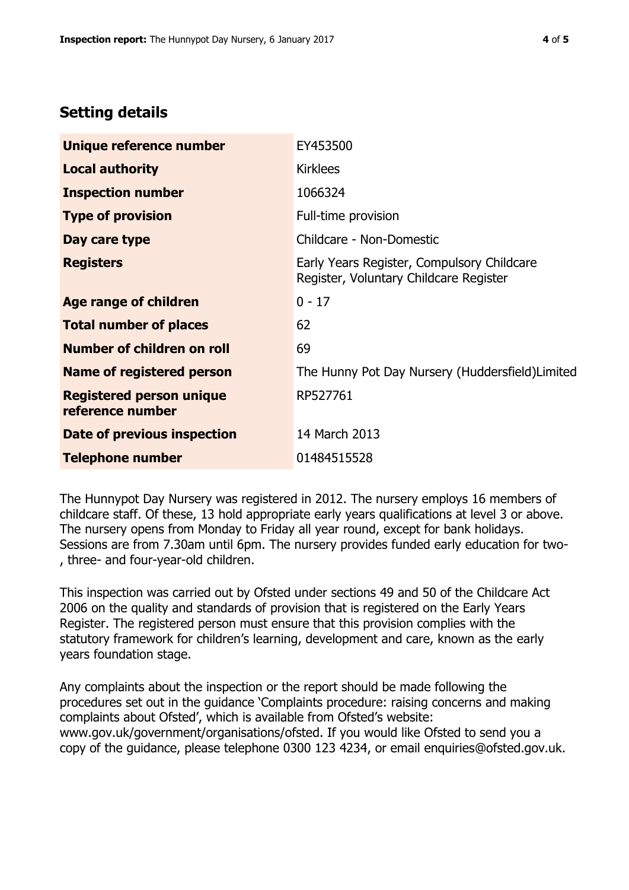# **Setting details**

| Unique reference number                             | EY453500                                                                             |  |
|-----------------------------------------------------|--------------------------------------------------------------------------------------|--|
| <b>Local authority</b>                              | <b>Kirklees</b>                                                                      |  |
| <b>Inspection number</b>                            | 1066324                                                                              |  |
| <b>Type of provision</b>                            | Full-time provision                                                                  |  |
| Day care type                                       | Childcare - Non-Domestic                                                             |  |
| <b>Registers</b>                                    | Early Years Register, Compulsory Childcare<br>Register, Voluntary Childcare Register |  |
| Age range of children                               | $0 - 17$                                                                             |  |
| <b>Total number of places</b>                       | 62                                                                                   |  |
| Number of children on roll                          | 69                                                                                   |  |
| Name of registered person                           | The Hunny Pot Day Nursery (Huddersfield) Limited                                     |  |
| <b>Registered person unique</b><br>reference number | RP527761                                                                             |  |
| <b>Date of previous inspection</b>                  | 14 March 2013                                                                        |  |
| <b>Telephone number</b>                             | 01484515528                                                                          |  |

The Hunnypot Day Nursery was registered in 2012. The nursery employs 16 members of childcare staff. Of these, 13 hold appropriate early years qualifications at level 3 or above. The nursery opens from Monday to Friday all year round, except for bank holidays. Sessions are from 7.30am until 6pm. The nursery provides funded early education for two- , three- and four-year-old children.

This inspection was carried out by Ofsted under sections 49 and 50 of the Childcare Act 2006 on the quality and standards of provision that is registered on the Early Years Register. The registered person must ensure that this provision complies with the statutory framework for children's learning, development and care, known as the early years foundation stage.

Any complaints about the inspection or the report should be made following the procedures set out in the guidance 'Complaints procedure: raising concerns and making complaints about Ofsted', which is available from Ofsted's website: www.gov.uk/government/organisations/ofsted. If you would like Ofsted to send you a copy of the guidance, please telephone 0300 123 4234, or email enquiries@ofsted.gov.uk.